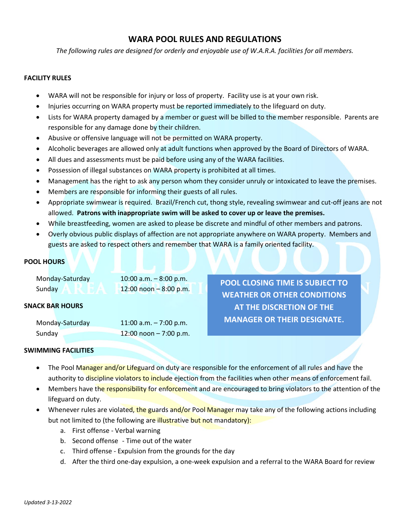# **WARA POOL RULES AND REGULATIONS**

*The following rules are designed for orderly and enjoyable use of W.A.R.A. facilities for all members.*

# **FACILITY RULES**

- WARA will not be responsible for injury or loss of property. Facility use is at your own risk.
- Injuries occurring on WARA property must be reported immediately to the lifeguard on duty.
- Lists for WARA property damaged by a member or guest will be billed to the member responsible. Parents are responsible for any damage done by their children.
- Abusive or offensive language will not be permitted on WARA property.
- Alcoholic beverages are allowed only at adult functions when approved by the Board of Directors of WARA.
- All dues and assessments must be paid before using any of the WARA facilities.
- Possession of illegal substances on WARA property is prohibited at all times.
- Management has the right to ask any person whom they consider unruly or intoxicated to leave the premises.
- Members are responsible for informing their guests of all rules.
- Appropriate swimwear is required. Brazil/French cut, thong style, revealing swimwear and cut-off jeans are not allowed. **Patrons with inappropriate swim will be asked to cover up or leave the premises.**
- While breastfeeding, women are asked to please be discrete and mindful of other members and patrons.
- Overly obvious public displays of affection are not appropriate anywhere on WARA property. Members and guests are asked to respect others and remember that WARA is a family oriented facility.

# **POOL HOURS**

| Monday-Saturday | 10:00 a.m. $-8:00$ p.m. |
|-----------------|-------------------------|
| Sunday          | 12:00 noon - 8:00 p.m.  |

### **SNACK BAR HOURS**

| Monday-Saturday | 11:00 a.m. $-7:00$ p.m. |
|-----------------|-------------------------|
| Sunday          | 12:00 noon $-7:00$ p.m. |

**POOL CLOSING TIME IS SUBJECT TO WEATHER OR OTHER CONDITIONS AT THE DISCRETION OF THE MANAGER OR THEIR DESIGNATE.**

### **SWIMMING FACILITIES**

- The Pool Manager and/or Lifeguard on duty are responsible for the enforcement of all rules and have the authority to discipline violators to include ejection from the facilities when other means of enforcement fail.
- Members have the responsibility for enforcement and are encouraged to bring violators to the attention of the lifeguard on duty.
- Whenever rules are violated, the guards and/or Pool Manager may take any of the following actions including but not limited to (the following are illustrative but not mandatory):
	- a. First offense Verbal warning
	- b. Second offense Time out of the water
	- c. Third offense Expulsion from the grounds for the day
	- d. After the third one-day expulsion, a one-week expulsion and a referral to the WARA Board for review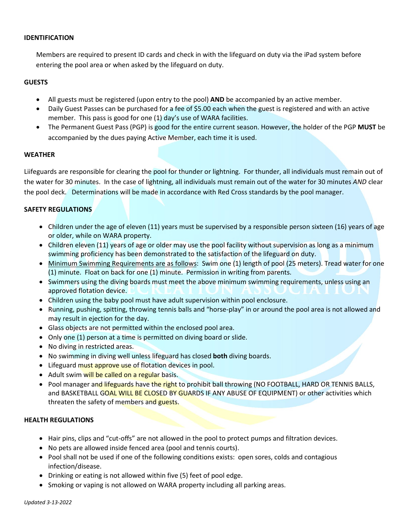# **IDENTIFICATION**

Members are required to present ID cards and check in with the lifeguard on duty via the iPad system before entering the pool area or when asked by the lifeguard on duty.

# **GUESTS**

- All guests must be registered (upon entry to the pool) **AND** be accompanied by an active member.
- Daily Guest Passes can be purchased for a fee of \$5.00 each when the guest is registered and with an active member. This pass is good for one (1) day's use of WARA facilities.
- The Permanent Guest Pass (PGP) is good for the entire current season. However, the holder of the PGP **MUST** be accompanied by the dues paying Active Member, each time it is used.

# **WEATHER**

Liifeguards are responsible for clearing the pool for thunder or lightning. For thunder, all individuals must remain out of the water for 30 minutes. In the case of lightning, all individuals must remain out of the water for 30 minutes *AND* clear the pool deck. Determinations will be made in accordance with Red Cross standards by the pool manager.

# **SAFETY REGULATIONS**

- Children under the age of eleven (11) years must be supervised by a responsible person sixteen (16) years of age or older, while on WARA property.
- Children eleven (11) years of age or older may use the pool facility without supervision as long as a minimum swimming proficiency has been demonstrated to the satisfaction of the lifeguard on duty.
- Minimum Swimming Requirements are as follows: Swim one (1) length of pool (25 meters). Tread water for one (1) minute. Float on back for one (1) minute. Permission in writing from parents.
- Swimmers using the diving boards must meet the above minimum swimming requirements, unless using an approved flotation device.
- Children using the baby pool must have adult supervision within pool enclosure.
- Running, pushing, spitting, throwing tennis balls and "horse-play" in or around the pool area is not allowed and may result in ejection for the day.
- Glass objects are not permitted within the enclosed pool area.
- Only one (1) person at a time is permitted on diving board or slide.
- No diving in restricted areas.
- No swimming in diving well unless lifeguard has closed **both** diving boards.
- Lifeguard must approve use of flotation devices in pool.
- Adult swim will be called on a regular basis.
- Pool manager and lifeguards have the right to prohibit ball throwing (NO FOOTBALL, HARD OR TENNIS BALLS, and BASKETBALL GOAL WILL BE CLOSED BY GUARDS IF ANY ABUSE OF EQUIPMENT) or other activities which threaten the safety of members and guests.

# **HEALTH REGULATIONS**

- Hair pins, clips and "cut-offs" are not allowed in the pool to protect pumps and filtration devices.
- No pets are allowed inside fenced area (pool and tennis courts).
- Pool shall not be used if one of the following conditions exists: open sores, colds and contagious infection/disease.
- Drinking or eating is not allowed within five (5) feet of pool edge.
- Smoking or vaping is not allowed on WARA property including all parking areas.